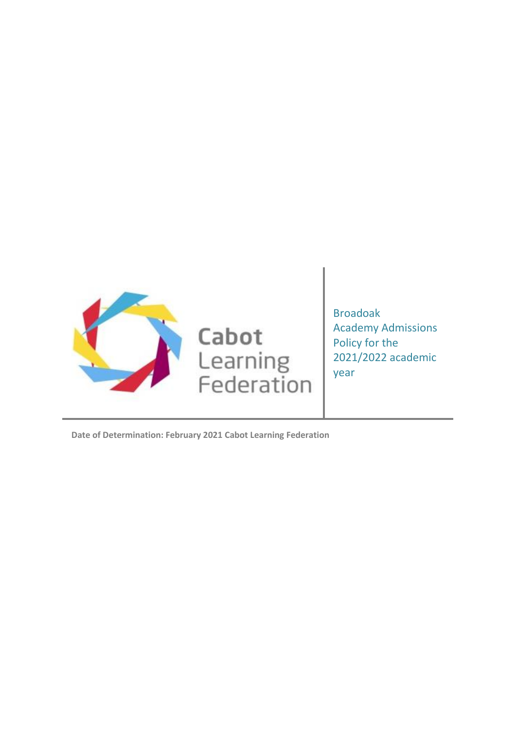

Broadoak Academy Admissions Policy for the 2021/2022 academic year

**Date of Determination: February 2021 Cabot Learning Federation**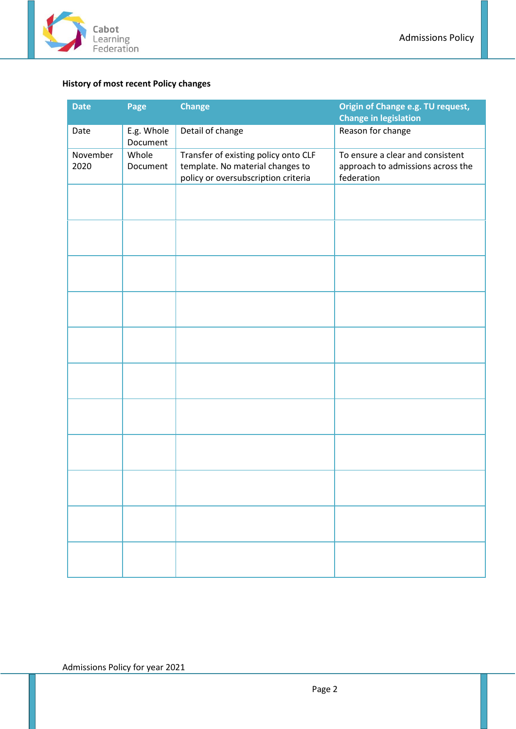

# <span id="page-1-0"></span>**History of most recent Policy changes**

| <b>Date</b>      | Page                                                                                                                                 | <b>Change</b>    | Origin of Change e.g. TU request,<br><b>Change in legislation</b>                   |
|------------------|--------------------------------------------------------------------------------------------------------------------------------------|------------------|-------------------------------------------------------------------------------------|
| Date             | E.g. Whole<br>Document                                                                                                               | Detail of change | Reason for change                                                                   |
| November<br>2020 | Whole<br>Transfer of existing policy onto CLF<br>template. No material changes to<br>Document<br>policy or oversubscription criteria |                  | To ensure a clear and consistent<br>approach to admissions across the<br>federation |
|                  |                                                                                                                                      |                  |                                                                                     |
|                  |                                                                                                                                      |                  |                                                                                     |
|                  |                                                                                                                                      |                  |                                                                                     |
|                  |                                                                                                                                      |                  |                                                                                     |
|                  |                                                                                                                                      |                  |                                                                                     |
|                  |                                                                                                                                      |                  |                                                                                     |
|                  |                                                                                                                                      |                  |                                                                                     |
|                  |                                                                                                                                      |                  |                                                                                     |
|                  |                                                                                                                                      |                  |                                                                                     |
|                  |                                                                                                                                      |                  |                                                                                     |
|                  |                                                                                                                                      |                  |                                                                                     |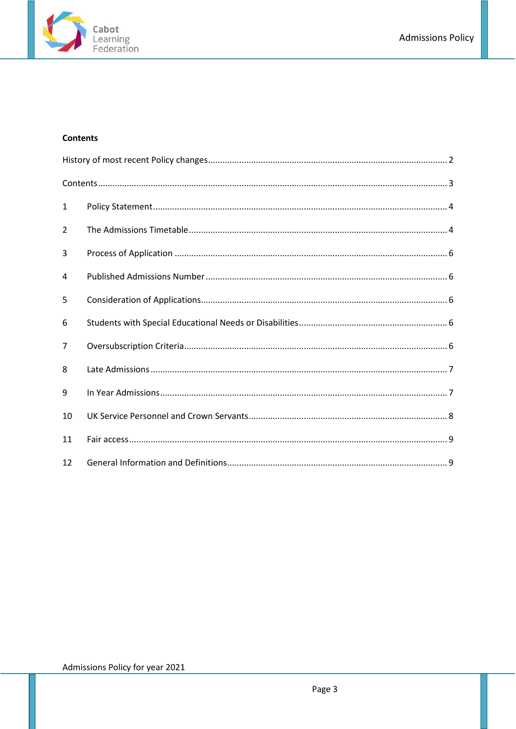

# <span id="page-2-0"></span>**Contents**

| 1              |  |
|----------------|--|
| 2              |  |
| 3              |  |
| 4              |  |
| 5              |  |
| 6              |  |
| $\overline{7}$ |  |
| 8              |  |
| 9              |  |
| 10             |  |
| 11             |  |
| 12             |  |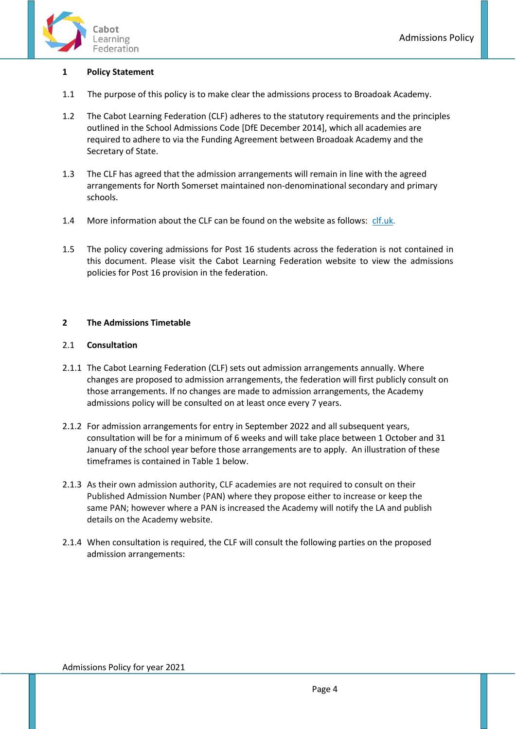

#### <span id="page-3-0"></span>**1 Policy Statement**

- 1.1 The purpose of this policy is to make clear the admissions process to Broadoak Academy.
- 1.2 The Cabot Learning Federation (CLF) adheres to the statutory requirements and the principles outlined in the School Admissions Code [DfE December 2014], which all academies are required to adhere to via the Funding Agreement between Broadoak Academy and the Secretary of State.
- 1.3 The CLF has agreed that the admission arrangements will remain in line with the agreed arrangements for North Somerset maintained non-denominational secondary and primary schools.
- 1.4 More information about the CLF can be found on the website as follows: [clf.uk.](http://www.cabotlearningfederation.net/)
- 1.5 The policy covering admissions for Post 16 students across the federation is not contained in this document. Please visit the Cabot Learning Federation website to view the admissions policies for Post 16 provision in the federation.

#### <span id="page-3-1"></span>**2 The Admissions Timetable**

#### 2.1 **Consultation**

- 2.1.1 The Cabot Learning Federation (CLF) sets out admission arrangements annually. Where changes are proposed to admission arrangements, the federation will first publicly consult on those arrangements. If no changes are made to admission arrangements, the Academy admissions policy will be consulted on at least once every 7 years.
- 2.1.2 For admission arrangements for entry in September 2022 and all subsequent years, consultation will be for a minimum of 6 weeks and will take place between 1 October and 31 January of the school year before those arrangements are to apply. An illustration of these timeframes is contained in Table 1 below.
- 2.1.3 As their own admission authority, CLF academies are not required to consult on their Published Admission Number (PAN) where they propose either to increase or keep the same PAN; however where a PAN is increased the Academy will notify the LA and publish details on the Academy website.
- 2.1.4 When consultation is required, the CLF will consult the following parties on the proposed admission arrangements: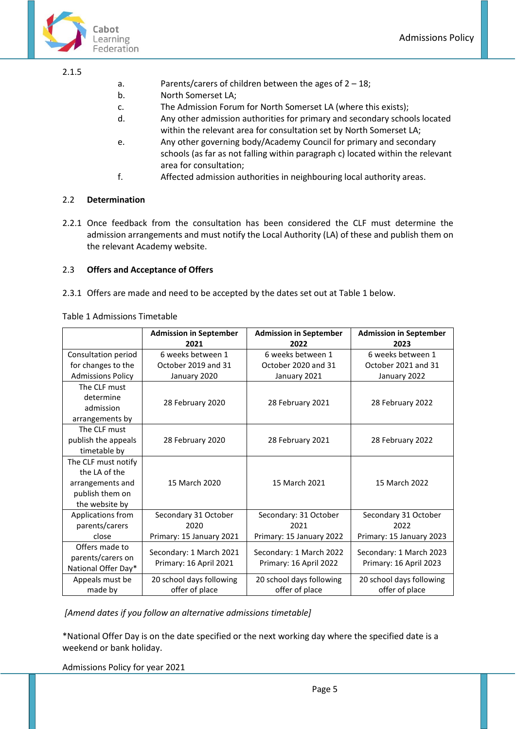

#### 2.1.5

- a. Parents/carers of children between the ages of  $2 18$ ;
- b. North Somerset LA;
- c. The Admission Forum for North Somerset LA (where this exists);
- d. Any other admission authorities for primary and secondary schools located within the relevant area for consultation set by North Somerset LA;
- e. Any other governing body/Academy Council for primary and secondary schools (as far as not falling within paragraph c) located within the relevant area for consultation;
- f. Affected admission authorities in neighbouring local authority areas.

# 2.2 **Determination**

2.2.1 Once feedback from the consultation has been considered the CLF must determine the admission arrangements and must notify the Local Authority (LA) of these and publish them on the relevant Academy website.

# 2.3 **Offers and Acceptance of Offers**

2.3.1 Offers are made and need to be accepted by the dates set out at Table 1 below.

Table 1 Admissions Timetable

|                          | <b>Admission in September</b> | <b>Admission in September</b>                     | <b>Admission in September</b>                     |
|--------------------------|-------------------------------|---------------------------------------------------|---------------------------------------------------|
|                          | 2021                          | 2022                                              | 2023                                              |
| Consultation period      | 6 weeks between 1             | 6 weeks between 1                                 | 6 weeks between 1                                 |
| for changes to the       | October 2019 and 31           | October 2020 and 31                               | October 2021 and 31                               |
| <b>Admissions Policy</b> | January 2020                  | January 2021                                      | January 2022                                      |
| The CLF must             |                               |                                                   |                                                   |
| determine                | 28 February 2020              | 28 February 2021                                  |                                                   |
| admission                |                               |                                                   | 28 February 2022                                  |
| arrangements by          |                               |                                                   |                                                   |
| The CLF must             |                               |                                                   |                                                   |
| publish the appeals      | 28 February 2020              | 28 February 2021                                  | 28 February 2022                                  |
| timetable by             |                               |                                                   |                                                   |
| The CLF must notify      |                               |                                                   |                                                   |
| the LA of the            |                               |                                                   |                                                   |
| arrangements and         | 15 March 2020                 | 15 March 2021                                     | 15 March 2022                                     |
| publish them on          |                               |                                                   |                                                   |
| the website by           |                               |                                                   |                                                   |
| Applications from        | Secondary 31 October          | Secondary: 31 October                             | Secondary 31 October                              |
| parents/carers           | 2020                          | 2021                                              | 2022                                              |
| close                    | Primary: 15 January 2021      | Primary: 15 January 2022                          | Primary: 15 January 2023                          |
| Offers made to           |                               |                                                   |                                                   |
| parents/carers on        | Secondary: 1 March 2021       | Secondary: 1 March 2022<br>Primary: 16 April 2022 | Secondary: 1 March 2023<br>Primary: 16 April 2023 |
| National Offer Day*      | Primary: 16 April 2021        |                                                   |                                                   |
| Appeals must be          | 20 school days following      | 20 school days following                          | 20 school days following                          |
| made by                  | offer of place                | offer of place                                    | offer of place                                    |

*[Amend dates if you follow an alternative admissions timetable]*

\*National Offer Day is on the date specified or the next working day where the specified date is a weekend or bank holiday.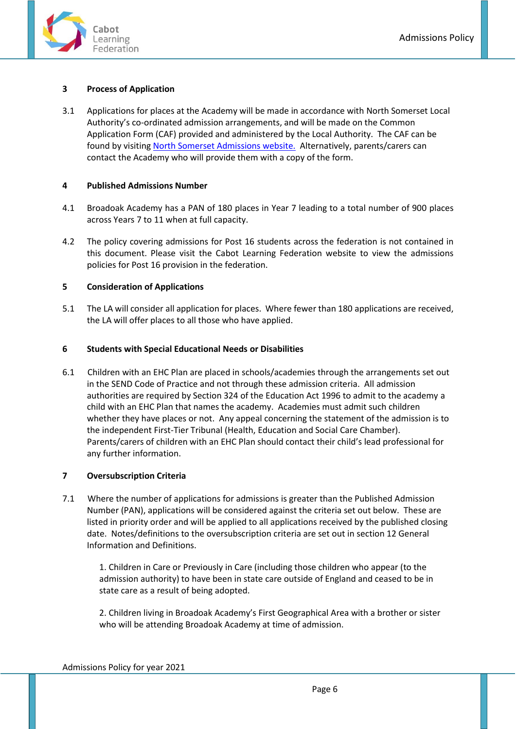

# <span id="page-5-0"></span>**3 Process of Application**

3.1 Applications for places at the Academy will be made in accordance with North Somerset Local Authority's co-ordinated admission arrangements, and will be made on the Common Application Form (CAF) provided and administered by the Local Authority. The CAF can be found by visitin[g North Somerset Admissions website.](https://www.n-somerset.gov.uk/my-services/schools-learning/school-admissions/applying-school-place) Alternatively, parents/carers can contact the Academy who will provide them with a copy of the form.

# <span id="page-5-1"></span>**4 Published Admissions Number**

- 4.1 Broadoak Academy has a PAN of 180 places in Year 7 leading to a total number of 900 places across Years 7 to 11 when at full capacity.
- 4.2 The policy covering admissions for Post 16 students across the federation is not contained in this document. Please visit the Cabot Learning Federation website to view the admissions policies for Post 16 provision in the federation.

# <span id="page-5-2"></span>**5 Consideration of Applications**

5.1 The LA will consider all application for places. Where fewer than 180 applications are received, the LA will offer places to all those who have applied.

# <span id="page-5-3"></span>**6 Students with Special Educational Needs or Disabilities**

6.1 Children with an EHC Plan are placed in schools/academies through the arrangements set out in the SEND Code of Practice and not through these admission criteria. All admission authorities are required by Section 324 of the Education Act 1996 to admit to the academy a child with an EHC Plan that names the academy. Academies must admit such children whether they have places or not. Any appeal concerning the statement of the admission is to the independent First-Tier Tribunal (Health, Education and Social Care Chamber). Parents/carers of children with an EHC Plan should contact their child's lead professional for any further information.

# <span id="page-5-4"></span>**7 Oversubscription Criteria**

7.1 Where the number of applications for admissions is greater than the Published Admission Number (PAN), applications will be considered against the criteria set out below. These are listed in priority order and will be applied to all applications received by the published closing date. Notes/definitions to the oversubscription criteria are set out in section 12 General Information and Definitions.

1. Children in Care or Previously in Care (including those children who appear (to the admission authority) to have been in state care outside of England and ceased to be in state care as a result of being adopted.

2. Children living in Broadoak Academy's First Geographical Area with a brother or sister who will be attending Broadoak Academy at time of admission.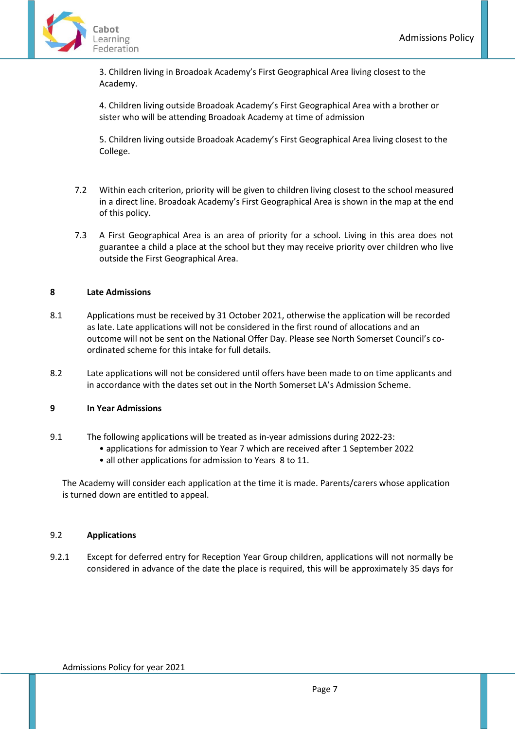

3. Children living in Broadoak Academy's First Geographical Area living closest to the Academy.

4. Children living outside Broadoak Academy's First Geographical Area with a brother or sister who will be attending Broadoak Academy at time of admission

5. Children living outside Broadoak Academy's First Geographical Area living closest to the College.

- 7.2 Within each criterion, priority will be given to children living closest to the school measured in a direct line. Broadoak Academy's First Geographical Area is shown in the map at the end of this policy.
- 7.3 A First Geographical Area is an area of priority for a school. Living in this area does not guarantee a child a place at the school but they may receive priority over children who live outside the First Geographical Area.

## <span id="page-6-0"></span>**8 Late Admissions**

- 8.1 Applications must be received by 31 October 2021, otherwise the application will be recorded as late. Late applications will not be considered in the first round of allocations and an outcome will not be sent on the National Offer Day. Please see North Somerset Council's coordinated scheme for this intake for full details.
- 8.2 Late applications will not be considered until offers have been made to on time applicants and in accordance with the dates set out in the North Somerset LA's Admission Scheme.

#### <span id="page-6-1"></span>**9 In Year Admissions**

- 9.1 The following applications will be treated as in-year admissions during 2022-23:
	- applications for admission to Year 7 which are received after 1 September 2022
		- all other applications for admission to Years 8 to 11.

The Academy will consider each application at the time it is made. Parents/carers whose application is turned down are entitled to appeal.

# 9.2 **Applications**

9.2.1 Except for deferred entry for Reception Year Group children, applications will not normally be considered in advance of the date the place is required, this will be approximately 35 days for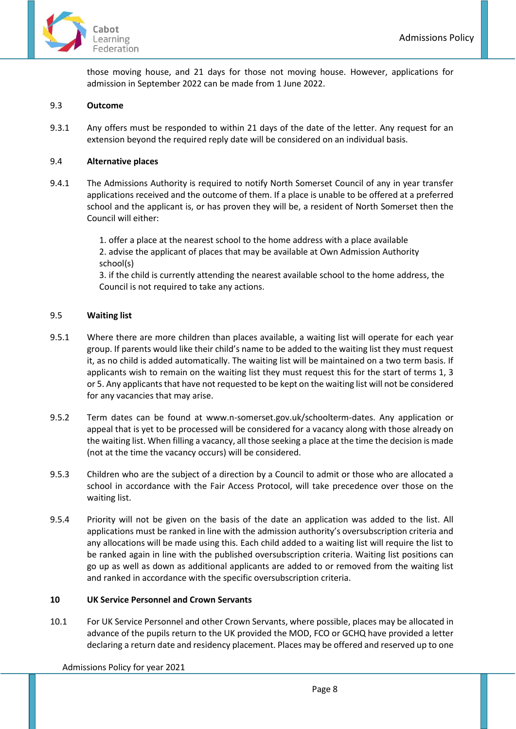

those moving house, and 21 days for those not moving house. However, applications for admission in September 2022 can be made from 1 June 2022.

## 9.3 **Outcome**

9.3.1 Any offers must be responded to within 21 days of the date of the letter. Any request for an extension beyond the required reply date will be considered on an individual basis.

# 9.4 **Alternative places**

9.4.1 The Admissions Authority is required to notify North Somerset Council of any in year transfer applications received and the outcome of them. If a place is unable to be offered at a preferred school and the applicant is, or has proven they will be, a resident of North Somerset then the Council will either:

> 1. offer a place at the nearest school to the home address with a place available 2. advise the applicant of places that may be available at Own Admission Authority school(s)

3. if the child is currently attending the nearest available school to the home address, the Council is not required to take any actions.

# 9.5 **Waiting list**

- 9.5.1 Where there are more children than places available, a waiting list will operate for each year group. If parents would like their child's name to be added to the waiting list they must request it, as no child is added automatically. The waiting list will be maintained on a two term basis. If applicants wish to remain on the waiting list they must request this for the start of terms 1, 3 or 5. Any applicants that have not requested to be kept on the waiting list will not be considered for any vacancies that may arise.
- 9.5.2 Term dates can be found at www.n-somerset.gov.uk/schoolterm-dates. Any application or appeal that is yet to be processed will be considered for a vacancy along with those already on the waiting list. When filling a vacancy, all those seeking a place at the time the decision is made (not at the time the vacancy occurs) will be considered.
- 9.5.3 Children who are the subject of a direction by a Council to admit or those who are allocated a school in accordance with the Fair Access Protocol, will take precedence over those on the waiting list.
- 9.5.4 Priority will not be given on the basis of the date an application was added to the list. All applications must be ranked in line with the admission authority's oversubscription criteria and any allocations will be made using this. Each child added to a waiting list will require the list to be ranked again in line with the published oversubscription criteria. Waiting list positions can go up as well as down as additional applicants are added to or removed from the waiting list and ranked in accordance with the specific oversubscription criteria.

#### <span id="page-7-0"></span>**10 UK Service Personnel and Crown Servants**

10.1 For UK Service Personnel and other Crown Servants, where possible, places may be allocated in advance of the pupils return to the UK provided the MOD, FCO or GCHQ have provided a letter declaring a return date and residency placement. Places may be offered and reserved up to one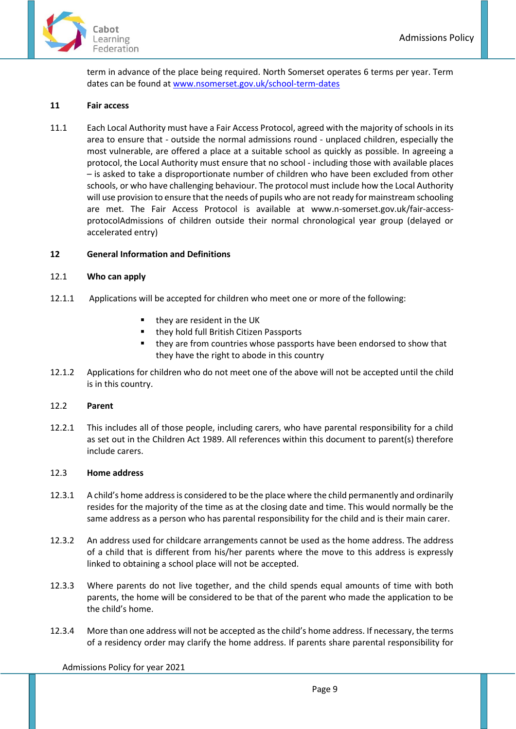

term in advance of the place being required. North Somerset operates 6 terms per year. Term dates can be found a[t www.nsomerset.gov.uk/school-term-dates](http://www.nsomerset.gov.uk/school-term-dates)

## <span id="page-8-0"></span>**11 Fair access**

11.1 Each Local Authority must have a Fair Access Protocol, agreed with the majority of schools in its area to ensure that - outside the normal admissions round - unplaced children, especially the most vulnerable, are offered a place at a suitable school as quickly as possible. In agreeing a protocol, the Local Authority must ensure that no school - including those with available places – is asked to take a disproportionate number of children who have been excluded from other schools, or who have challenging behaviour. The protocol must include how the Local Authority will use provision to ensure that the needs of pupils who are not ready for mainstream schooling are met. The Fair Access Protocol is available at www.n-somerset.gov.uk/fair-accessprotocolAdmissions of children outside their normal chronological year group (delayed or accelerated entry)

# <span id="page-8-1"></span>**12 General Information and Definitions**

#### 12.1 **Who can apply**

- 12.1.1 Applications will be accepted for children who meet one or more of the following:
	- they are resident in the UK
	- they hold full British Citizen Passports
	- they are from countries whose passports have been endorsed to show that they have the right to abode in this country
- 12.1.2 Applications for children who do not meet one of the above will not be accepted until the child is in this country.

#### 12.2 **Parent**

12.2.1 This includes all of those people, including carers, who have parental responsibility for a child as set out in the Children Act 1989. All references within this document to parent(s) therefore include carers.

#### 12.3 **Home address**

- 12.3.1 A child's home address is considered to be the place where the child permanently and ordinarily resides for the majority of the time as at the closing date and time. This would normally be the same address as a person who has parental responsibility for the child and is their main carer.
- 12.3.2 An address used for childcare arrangements cannot be used as the home address. The address of a child that is different from his/her parents where the move to this address is expressly linked to obtaining a school place will not be accepted.
- 12.3.3 Where parents do not live together, and the child spends equal amounts of time with both parents, the home will be considered to be that of the parent who made the application to be the child's home.
- 12.3.4 More than one address will not be accepted as the child's home address. If necessary, the terms of a residency order may clarify the home address. If parents share parental responsibility for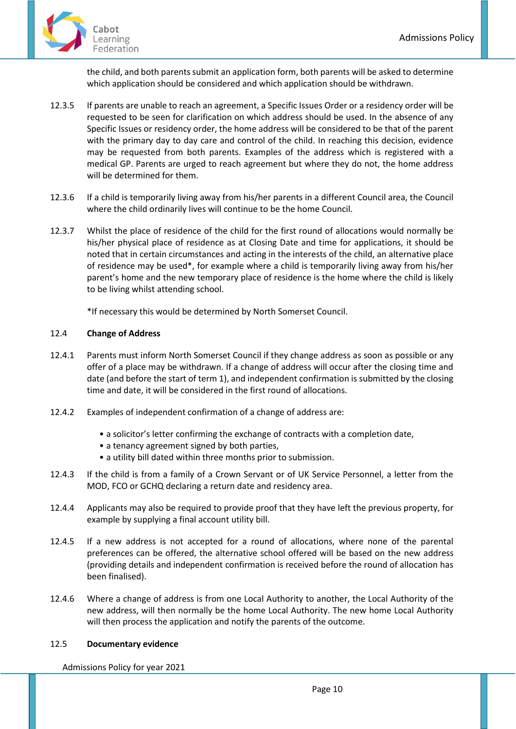

the child, and both parents submit an application form, both parents will be asked to determine which application should be considered and which application should be withdrawn.

- 12.3.5 If parents are unable to reach an agreement, a Specific Issues Order or a residency order will be requested to be seen for clarification on which address should be used. In the absence of any Specific Issues or residency order, the home address will be considered to be that of the parent with the primary day to day care and control of the child. In reaching this decision, evidence may be requested from both parents. Examples of the address which is registered with a medical GP. Parents are urged to reach agreement but where they do not, the home address will be determined for them.
- 12.3.6 If a child is temporarily living away from his/her parents in a different Council area, the Council where the child ordinarily lives will continue to be the home Council.
- 12.3.7 Whilst the place of residence of the child for the first round of allocations would normally be his/her physical place of residence as at Closing Date and time for applications, it should be noted that in certain circumstances and acting in the interests of the child, an alternative place of residence may be used\*, for example where a child is temporarily living away from his/her parent's home and the new temporary place of residence is the home where the child is likely to be living whilst attending school.

\*If necessary this would be determined by North Somerset Council.

# 12.4 **Change of Address**

- 12.4.1 Parents must inform North Somerset Council if they change address as soon as possible or any offer of a place may be withdrawn. If a change of address will occur after the closing time and date (and before the start of term 1), and independent confirmation is submitted by the closing time and date, it will be considered in the first round of allocations.
- 12.4.2 Examples of independent confirmation of a change of address are:
	- a solicitor's letter confirming the exchange of contracts with a completion date,
	- a tenancy agreement signed by both parties,
	- a utility bill dated within three months prior to submission.
- 12.4.3 If the child is from a family of a Crown Servant or of UK Service Personnel, a letter from the MOD, FCO or GCHQ declaring a return date and residency area.
- 12.4.4 Applicants may also be required to provide proof that they have left the previous property, for example by supplying a final account utility bill.
- 12.4.5 If a new address is not accepted for a round of allocations, where none of the parental preferences can be offered, the alternative school offered will be based on the new address (providing details and independent confirmation is received before the round of allocation has been finalised).
- 12.4.6 Where a change of address is from one Local Authority to another, the Local Authority of the new address, will then normally be the home Local Authority. The new home Local Authority will then process the application and notify the parents of the outcome.

#### 12.5 **Documentary evidence**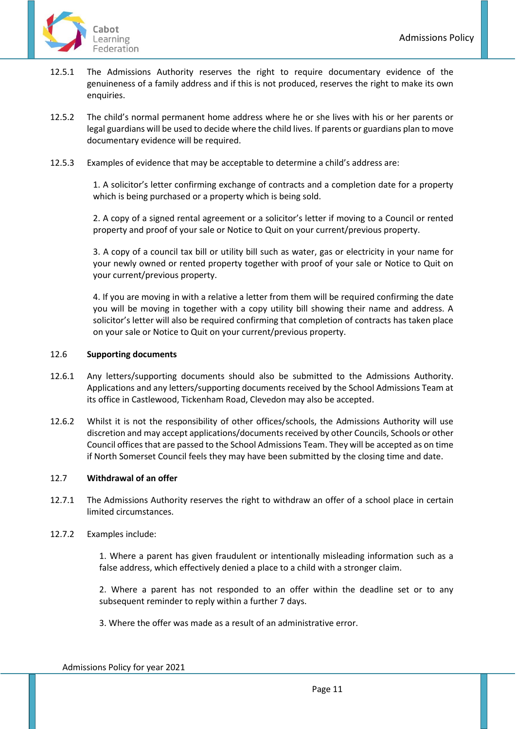- 12.5.1 The Admissions Authority reserves the right to require documentary evidence of the genuineness of a family address and if this is not produced, reserves the right to make its own enquiries.
- 12.5.2 The child's normal permanent home address where he or she lives with his or her parents or legal guardians will be used to decide where the child lives. If parents or guardians plan to move documentary evidence will be required.
- 12.5.3 Examples of evidence that may be acceptable to determine a child's address are:

1. A solicitor's letter confirming exchange of contracts and a completion date for a property which is being purchased or a property which is being sold.

2. A copy of a signed rental agreement or a solicitor's letter if moving to a Council or rented property and proof of your sale or Notice to Quit on your current/previous property.

3. A copy of a council tax bill or utility bill such as water, gas or electricity in your name for your newly owned or rented property together with proof of your sale or Notice to Quit on your current/previous property.

4. If you are moving in with a relative a letter from them will be required confirming the date you will be moving in together with a copy utility bill showing their name and address. A solicitor's letter will also be required confirming that completion of contracts has taken place on your sale or Notice to Quit on your current/previous property.

#### 12.6 **Supporting documents**

- 12.6.1 Any letters/supporting documents should also be submitted to the Admissions Authority. Applications and any letters/supporting documents received by the School Admissions Team at its office in Castlewood, Tickenham Road, Clevedon may also be accepted.
- 12.6.2 Whilst it is not the responsibility of other offices/schools, the Admissions Authority will use discretion and may accept applications/documents received by other Councils, Schools or other Council offices that are passed to the School Admissions Team. They will be accepted as on time if North Somerset Council feels they may have been submitted by the closing time and date.

#### 12.7 **Withdrawal of an offer**

12.7.1 The Admissions Authority reserves the right to withdraw an offer of a school place in certain limited circumstances.

#### 12.7.2 Examples include:

1. Where a parent has given fraudulent or intentionally misleading information such as a false address, which effectively denied a place to a child with a stronger claim.

2. Where a parent has not responded to an offer within the deadline set or to any subsequent reminder to reply within a further 7 days.

3. Where the offer was made as a result of an administrative error.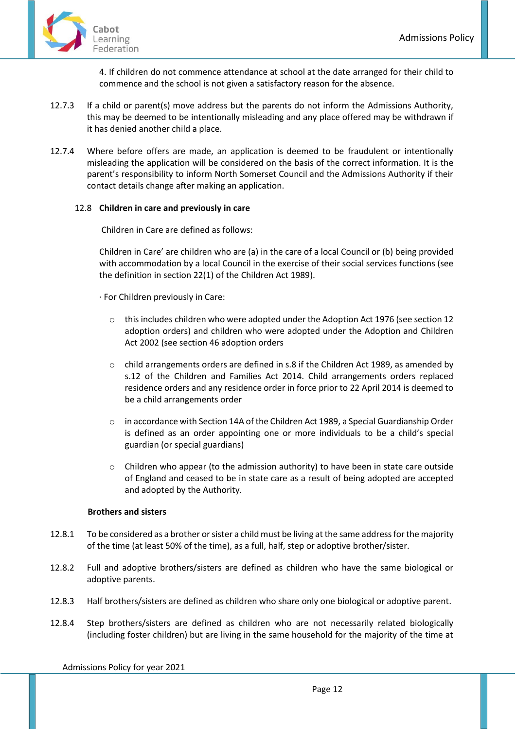

4. If children do not commence attendance at school at the date arranged for their child to commence and the school is not given a satisfactory reason for the absence.

- 12.7.3 If a child or parent(s) move address but the parents do not inform the Admissions Authority, this may be deemed to be intentionally misleading and any place offered may be withdrawn if it has denied another child a place.
- 12.7.4 Where before offers are made, an application is deemed to be fraudulent or intentionally misleading the application will be considered on the basis of the correct information. It is the parent's responsibility to inform North Somerset Council and the Admissions Authority if their contact details change after making an application.

# 12.8 **Children in care and previously in care**

Children in Care are defined as follows:

Children in Care' are children who are (a) in the care of a local Council or (b) being provided with accommodation by a local Council in the exercise of their social services functions (see the definition in section 22(1) of the Children Act 1989).

· For Children previously in Care:

- $\circ$  this includes children who were adopted under the Adoption Act 1976 (see section 12) adoption orders) and children who were adopted under the Adoption and Children Act 2002 (see section 46 adoption orders
- o child arrangements orders are defined in s.8 if the Children Act 1989, as amended by s.12 of the Children and Families Act 2014. Child arrangements orders replaced residence orders and any residence order in force prior to 22 April 2014 is deemed to be a child arrangements order
- o in accordance with Section 14A of the Children Act 1989, a Special Guardianship Order is defined as an order appointing one or more individuals to be a child's special guardian (or special guardians)
- $\circ$  Children who appear (to the admission authority) to have been in state care outside of England and ceased to be in state care as a result of being adopted are accepted and adopted by the Authority.

#### **Brothers and sisters**

- 12.8.1 To be considered as a brother or sister a child must be living at the same address for the majority of the time (at least 50% of the time), as a full, half, step or adoptive brother/sister.
- 12.8.2 Full and adoptive brothers/sisters are defined as children who have the same biological or adoptive parents.
- 12.8.3 Half brothers/sisters are defined as children who share only one biological or adoptive parent.
- 12.8.4 Step brothers/sisters are defined as children who are not necessarily related biologically (including foster children) but are living in the same household for the majority of the time at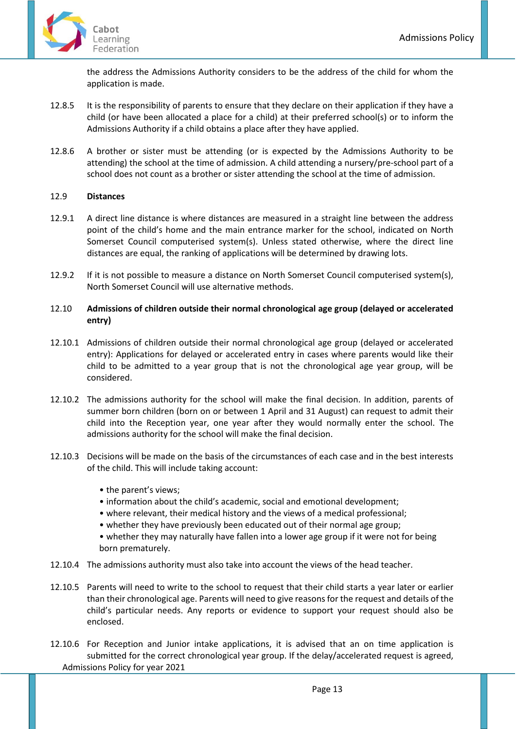

the address the Admissions Authority considers to be the address of the child for whom the application is made.

- 12.8.5 It is the responsibility of parents to ensure that they declare on their application if they have a child (or have been allocated a place for a child) at their preferred school(s) or to inform the Admissions Authority if a child obtains a place after they have applied.
- 12.8.6 A brother or sister must be attending (or is expected by the Admissions Authority to be attending) the school at the time of admission. A child attending a nursery/pre-school part of a school does not count as a brother or sister attending the school at the time of admission.

# 12.9 **Distances**

- 12.9.1 A direct line distance is where distances are measured in a straight line between the address point of the child's home and the main entrance marker for the school, indicated on North Somerset Council computerised system(s). Unless stated otherwise, where the direct line distances are equal, the ranking of applications will be determined by drawing lots.
- 12.9.2 If it is not possible to measure a distance on North Somerset Council computerised system(s), North Somerset Council will use alternative methods.

# 12.10 **Admissions of children outside their normal chronological age group (delayed or accelerated entry)**

- 12.10.1 Admissions of children outside their normal chronological age group (delayed or accelerated entry): Applications for delayed or accelerated entry in cases where parents would like their child to be admitted to a year group that is not the chronological age year group, will be considered.
- 12.10.2 The admissions authority for the school will make the final decision. In addition, parents of summer born children (born on or between 1 April and 31 August) can request to admit their child into the Reception year, one year after they would normally enter the school. The admissions authority for the school will make the final decision.
- 12.10.3 Decisions will be made on the basis of the circumstances of each case and in the best interests of the child. This will include taking account:
	- the parent's views;
	- information about the child's academic, social and emotional development;
	- where relevant, their medical history and the views of a medical professional;
	- whether they have previously been educated out of their normal age group;
	- whether they may naturally have fallen into a lower age group if it were not for being born prematurely.
- 12.10.4 The admissions authority must also take into account the views of the head teacher.
- 12.10.5 Parents will need to write to the school to request that their child starts a year later or earlier than their chronological age. Parents will need to give reasons for the request and details of the child's particular needs. Any reports or evidence to support your request should also be enclosed.
- Admissions Policy for year 2021 12.10.6 For Reception and Junior intake applications, it is advised that an on time application is submitted for the correct chronological year group. If the delay/accelerated request is agreed,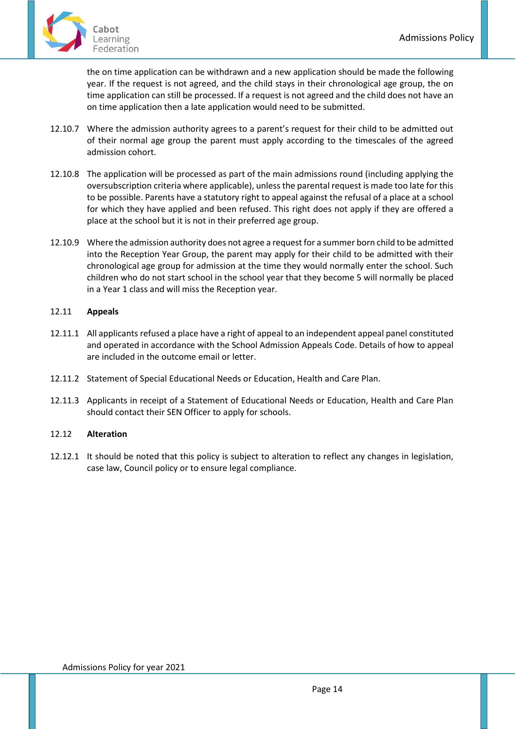

the on time application can be withdrawn and a new application should be made the following year. If the request is not agreed, and the child stays in their chronological age group, the on time application can still be processed. If a request is not agreed and the child does not have an on time application then a late application would need to be submitted.

- 12.10.7 Where the admission authority agrees to a parent's request for their child to be admitted out of their normal age group the parent must apply according to the timescales of the agreed admission cohort.
- 12.10.8 The application will be processed as part of the main admissions round (including applying the oversubscription criteria where applicable), unless the parental request is made too late for this to be possible. Parents have a statutory right to appeal against the refusal of a place at a school for which they have applied and been refused. This right does not apply if they are offered a place at the school but it is not in their preferred age group.
- 12.10.9 Where the admission authority does not agree a request for a summer born child to be admitted into the Reception Year Group, the parent may apply for their child to be admitted with their chronological age group for admission at the time they would normally enter the school. Such children who do not start school in the school year that they become 5 will normally be placed in a Year 1 class and will miss the Reception year.

# 12.11 **Appeals**

- 12.11.1 All applicants refused a place have a right of appeal to an independent appeal panel constituted and operated in accordance with the School Admission Appeals Code. Details of how to appeal are included in the outcome email or letter.
- 12.11.2 Statement of Special Educational Needs or Education, Health and Care Plan.
- 12.11.3 Applicants in receipt of a Statement of Educational Needs or Education, Health and Care Plan should contact their SEN Officer to apply for schools.

# 12.12 **Alteration**

12.12.1 It should be noted that this policy is subject to alteration to reflect any changes in legislation, case law, Council policy or to ensure legal compliance.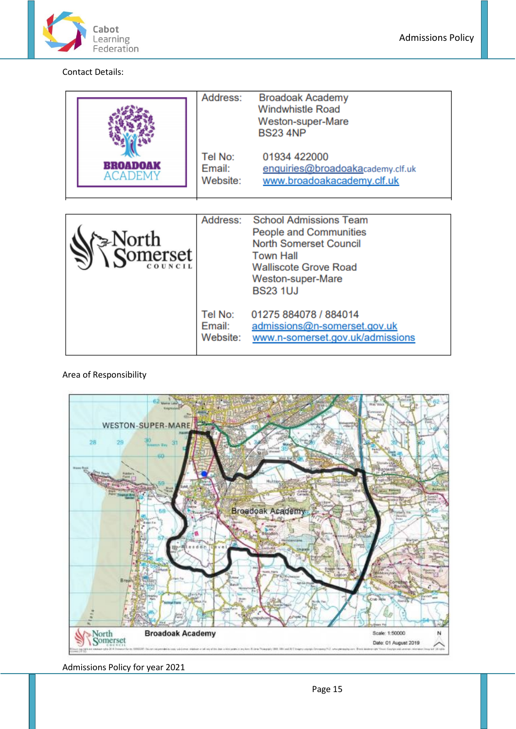

Contact Details:

| BROADOAK<br>ACADEMY                         | Address:<br>Tel No:<br>Email:<br>Website: | <b>Broadoak Academy</b><br><b>Windwhistle Road</b><br>Weston-super-Mare<br><b>BS23 4NP</b><br>01934 422000<br>enquiries@broadoakacademy.clf.uk<br>www.broadoakacademy.clf.uk                |
|---------------------------------------------|-------------------------------------------|---------------------------------------------------------------------------------------------------------------------------------------------------------------------------------------------|
| ⊱North<br><b>Comerset</b><br><b>COUNCIL</b> | Address:                                  | <b>School Admissions Team</b><br><b>People and Communities</b><br><b>North Somerset Council</b><br><b>Town Hall</b><br><b>Walliscote Grove Road</b><br>Weston-super-Mare<br><b>BS23 1UJ</b> |
|                                             | Tel No:<br>Email:<br>Website:             | 01275 884078 / 884014<br>admissions@n-somerset.gov.uk<br>www.n-somerset.gov.uk/admissions                                                                                                   |

# Area of Responsibility